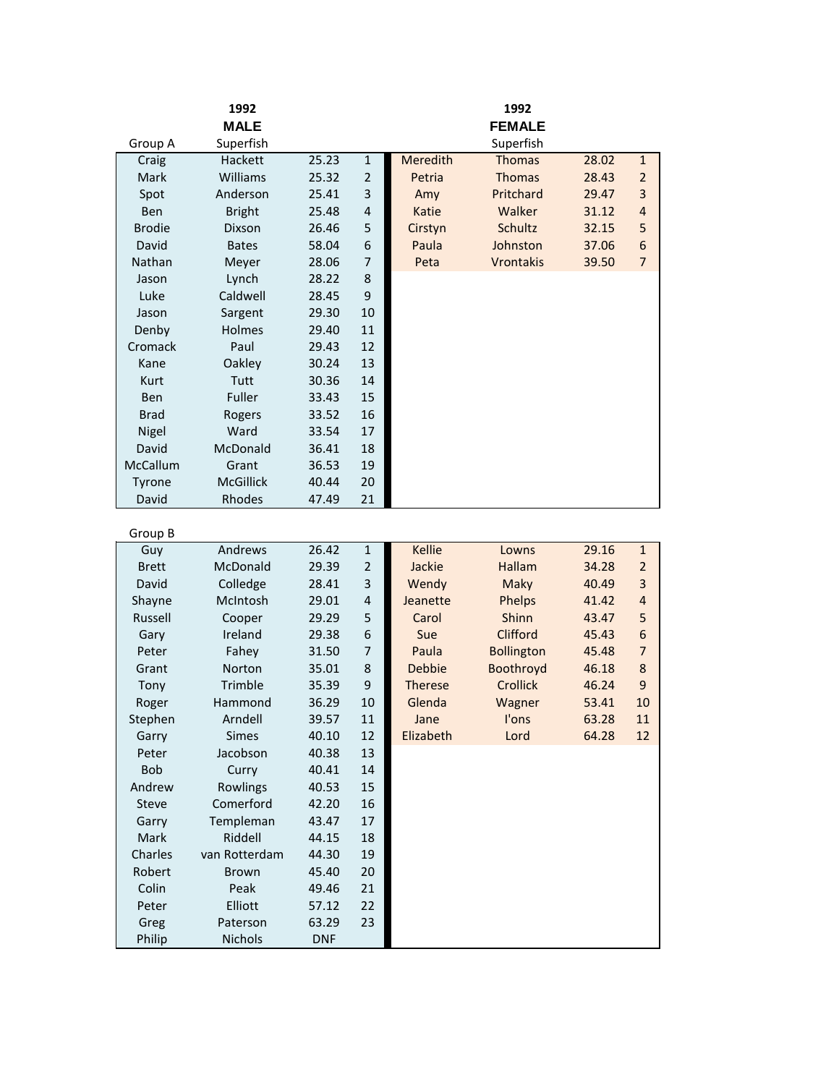|               | 1992             |            |                |                | 1992              |       |                         |
|---------------|------------------|------------|----------------|----------------|-------------------|-------|-------------------------|
|               | <b>MALE</b>      |            |                |                | <b>FEMALE</b>     |       |                         |
| Group A       | Superfish        |            |                |                | Superfish         |       |                         |
| Craig         | Hackett          | 25.23      | $\mathbf 1$    | Meredith       | <b>Thomas</b>     | 28.02 | $\mathbf{1}$            |
| Mark          | Williams         | 25.32      | $\overline{2}$ | Petria         | <b>Thomas</b>     | 28.43 | $\overline{2}$          |
| Spot          | Anderson         | 25.41      | 3              | Amy            | Pritchard         | 29.47 | 3                       |
| Ben           | <b>Bright</b>    | 25.48      | 4              | Katie          | Walker            | 31.12 | $\overline{4}$          |
| <b>Brodie</b> | Dixson           | 26.46      | 5              | Cirstyn        | Schultz           | 32.15 | 5                       |
| David         | <b>Bates</b>     | 58.04      | 6              | Paula          | Johnston          | 37.06 | 6                       |
| Nathan        | Meyer            | 28.06      | 7              | Peta           | Vrontakis         | 39.50 | $\overline{7}$          |
| Jason         | Lynch            | 28.22      | 8              |                |                   |       |                         |
| Luke          | Caldwell         | 28.45      | 9              |                |                   |       |                         |
| Jason         | Sargent          | 29.30      | 10             |                |                   |       |                         |
| Denby         | Holmes           | 29.40      | 11             |                |                   |       |                         |
| Cromack       | Paul             | 29.43      | 12             |                |                   |       |                         |
| Kane          | Oakley           | 30.24      | 13             |                |                   |       |                         |
| Kurt          | Tutt             | 30.36      | 14             |                |                   |       |                         |
| <b>Ben</b>    | Fuller           | 33.43      | 15             |                |                   |       |                         |
| <b>Brad</b>   | Rogers           | 33.52      | 16             |                |                   |       |                         |
| Nigel         | Ward             | 33.54      | 17             |                |                   |       |                         |
| David         | McDonald         | 36.41      | 18             |                |                   |       |                         |
| McCallum      | Grant            | 36.53      | 19             |                |                   |       |                         |
| Tyrone        | <b>McGillick</b> | 40.44      | 20             |                |                   |       |                         |
| David         | Rhodes           | 47.49      | 21             |                |                   |       |                         |
|               |                  |            |                |                |                   |       |                         |
| Group B       |                  |            |                |                |                   |       |                         |
| Guy           | Andrews          | 26.42      | $\mathbf 1$    | <b>Kellie</b>  | Lowns             | 29.16 | $\mathbf{1}$            |
| <b>Brett</b>  | McDonald         | 29.39      | $\overline{2}$ | Jackie         | Hallam            | 34.28 | $\overline{2}$          |
| David         | Colledge         | 28.41      | 3              | Wendy          | Maky              | 40.49 | $\overline{\mathbf{3}}$ |
| Shayne        | McIntosh         | 29.01      | 4              | Jeanette       | Phelps            | 41.42 | $\overline{4}$          |
| Russell       | Cooper           | 29.29      | 5              | Carol          | Shinn             | 43.47 | 5                       |
| Gary          | Ireland          | 29.38      | 6              | Sue            | Clifford          | 45.43 | 6                       |
| Peter         | Fahey            | 31.50      | 7              | Paula          | <b>Bollington</b> | 45.48 | $\overline{7}$          |
| Grant         | Norton           | 35.01      | 8              | <b>Debbie</b>  | Boothroyd         | 46.18 | 8                       |
| Tony          | Trimble          | 35.39      | 9              | <b>Therese</b> | <b>Crollick</b>   | 46.24 | 9                       |
| Roger         | Hammond          | 36.29      | 10             | Glenda         | Wagner            | 53.41 | 10                      |
| Stephen       | Arndell          | 39.57      | 11             | Jane           | l'ons             | 63.28 | 11                      |
| Garry         | Simes            | 40.10      | 12             | Elizabeth      | Lord              | 64.28 | 12                      |
| Peter         | Jacobson         | 40.38      | 13             |                |                   |       |                         |
| <b>Bob</b>    | Curry            | 40.41      | 14             |                |                   |       |                         |
| Andrew        | Rowlings         | 40.53      | 15             |                |                   |       |                         |
| Steve         | Comerford        | 42.20      | 16             |                |                   |       |                         |
| Garry         | Templeman        | 43.47      | 17             |                |                   |       |                         |
| Mark          | Riddell          | 44.15      | 18             |                |                   |       |                         |
| Charles       | van Rotterdam    | 44.30      | 19             |                |                   |       |                         |
| Robert        | <b>Brown</b>     | 45.40      | 20             |                |                   |       |                         |
| Colin         | Peak             | 49.46      | 21             |                |                   |       |                         |
| Peter         | Elliott          | 57.12      | 22             |                |                   |       |                         |
| Greg          | Paterson         | 63.29      | 23             |                |                   |       |                         |
| Philip        | Nichols          | <b>DNF</b> |                |                |                   |       |                         |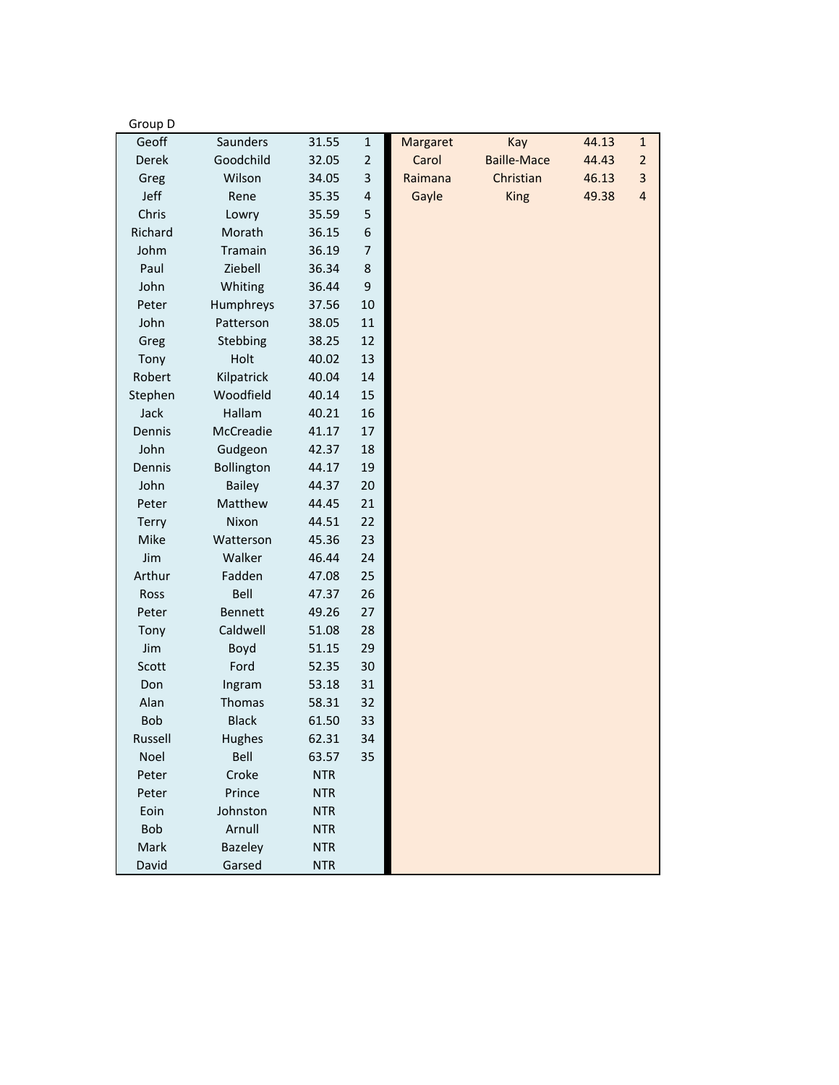| Group D    |                |            |                |          |                    |       |                         |
|------------|----------------|------------|----------------|----------|--------------------|-------|-------------------------|
| Geoff      | Saunders       | 31.55      | $\mathbf{1}$   | Margaret | Kay                | 44.13 | $\mathbf{1}$            |
| Derek      | Goodchild      | 32.05      | $\overline{2}$ | Carol    | <b>Baille-Mace</b> | 44.43 | $\overline{2}$          |
| Greg       | Wilson         | 34.05      | 3              | Raimana  | Christian          | 46.13 | $\overline{\mathbf{3}}$ |
| Jeff       | Rene           | 35.35      | 4              | Gayle    | <b>King</b>        | 49.38 | $\overline{\mathbf{r}}$ |
| Chris      | Lowry          | 35.59      | 5              |          |                    |       |                         |
| Richard    | Morath         | 36.15      | 6              |          |                    |       |                         |
| Johm       | Tramain        | 36.19      | 7              |          |                    |       |                         |
| Paul       | Ziebell        | 36.34      | 8              |          |                    |       |                         |
| John       | Whiting        | 36.44      | 9              |          |                    |       |                         |
| Peter      | Humphreys      | 37.56      | 10             |          |                    |       |                         |
| John       | Patterson      | 38.05      | 11             |          |                    |       |                         |
| Greg       | Stebbing       | 38.25      | 12             |          |                    |       |                         |
| Tony       | Holt           | 40.02      | 13             |          |                    |       |                         |
| Robert     | Kilpatrick     | 40.04      | 14             |          |                    |       |                         |
| Stephen    | Woodfield      | 40.14      | 15             |          |                    |       |                         |
| Jack       | Hallam         | 40.21      | 16             |          |                    |       |                         |
| Dennis     | McCreadie      | 41.17      | 17             |          |                    |       |                         |
| John       | Gudgeon        | 42.37      | 18             |          |                    |       |                         |
| Dennis     | Bollington     | 44.17      | 19             |          |                    |       |                         |
| John       | <b>Bailey</b>  | 44.37      | 20             |          |                    |       |                         |
| Peter      | Matthew        | 44.45      | 21             |          |                    |       |                         |
| Terry      | Nixon          | 44.51      | 22             |          |                    |       |                         |
| Mike       | Watterson      | 45.36      | 23             |          |                    |       |                         |
| Jim        | Walker         | 46.44      | 24             |          |                    |       |                         |
| Arthur     | Fadden         | 47.08      | 25             |          |                    |       |                         |
| Ross       | Bell           | 47.37      | 26             |          |                    |       |                         |
| Peter      | <b>Bennett</b> | 49.26      | 27             |          |                    |       |                         |
| Tony       | Caldwell       | 51.08      | 28             |          |                    |       |                         |
| Jim        | Boyd           | 51.15      | 29             |          |                    |       |                         |
| Scott      | Ford           | 52.35      | 30             |          |                    |       |                         |
| Don        | Ingram         | 53.18      | 31             |          |                    |       |                         |
| Alan       | Thomas         | 58.31      | 32             |          |                    |       |                         |
| <b>Bob</b> | <b>Black</b>   | 61.50      | 33             |          |                    |       |                         |
| Russell    | Hughes         | 62.31      | 34             |          |                    |       |                         |
| Noel       | Bell           | 63.57      | 35             |          |                    |       |                         |
| Peter      | Croke          | <b>NTR</b> |                |          |                    |       |                         |
| Peter      | Prince         | <b>NTR</b> |                |          |                    |       |                         |
| Eoin       | Johnston       | <b>NTR</b> |                |          |                    |       |                         |
| <b>Bob</b> | Arnull         | <b>NTR</b> |                |          |                    |       |                         |
| Mark       | <b>Bazeley</b> | <b>NTR</b> |                |          |                    |       |                         |
| David      | Garsed         | <b>NTR</b> |                |          |                    |       |                         |